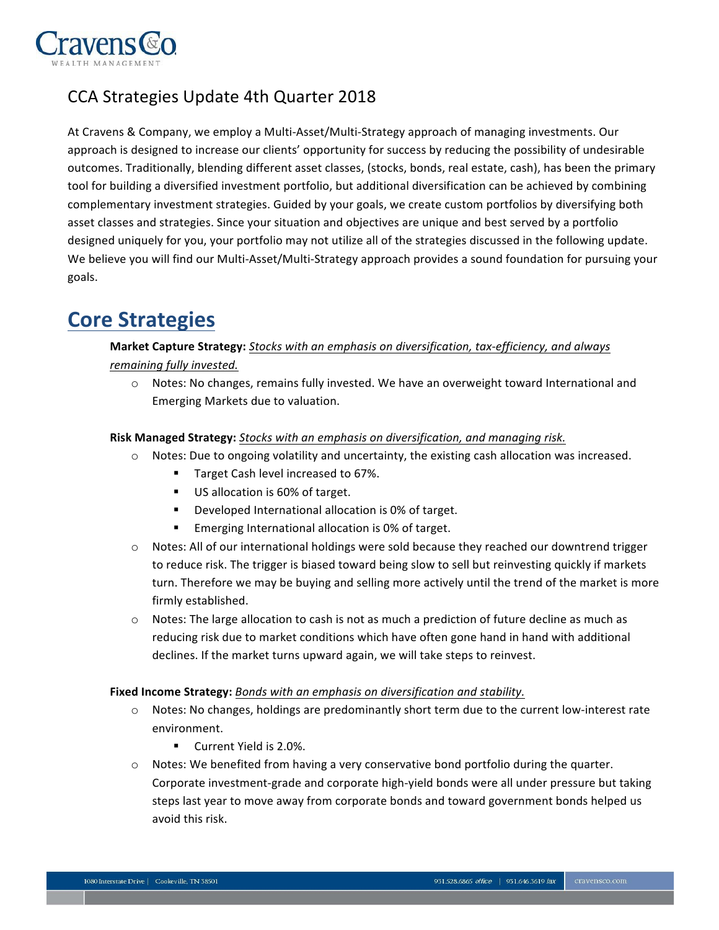

## CCA Strategies Update 4th Quarter 2018

At Cravens & Company, we employ a Multi-Asset/Multi-Strategy approach of managing investments. Our approach is designed to increase our clients' opportunity for success by reducing the possibility of undesirable outcomes. Traditionally, blending different asset classes, (stocks, bonds, real estate, cash), has been the primary tool for building a diversified investment portfolio, but additional diversification can be achieved by combining complementary investment strategies. Guided by your goals, we create custom portfolios by diversifying both asset classes and strategies. Since your situation and objectives are unique and best served by a portfolio designed uniquely for you, your portfolio may not utilize all of the strategies discussed in the following update. We believe you will find our Multi-Asset/Multi-Strategy approach provides a sound foundation for pursuing your goals.

# **Core Strategies**

### **Market Capture Strategy:** *Stocks with an emphasis on diversification, tax-efficiency, and always remaining fully invested.*

o Notes: No changes, remains fully invested. We have an overweight toward International and Emerging Markets due to valuation.

#### **Risk Managed Strategy:** *Stocks with an emphasis on diversification, and managing risk.*

- o Notes: Due to ongoing volatility and uncertainty, the existing cash allocation was increased.
	- **Target Cash level increased to 67%.**
	- US allocation is 60% of target.
	- ! Developed International allocation is 0% of target.
	- **Emerging International allocation is 0% of target.**
- o Notes: All of our international holdings were sold because they reached our downtrend trigger to reduce risk. The trigger is biased toward being slow to sell but reinvesting quickly if markets turn. Therefore we may be buying and selling more actively until the trend of the market is more firmly established.
- o Notes: The large allocation to cash is not as much a prediction of future decline as much as reducing risk due to market conditions which have often gone hand in hand with additional declines. If the market turns upward again, we will take steps to reinvest.

#### **Fixed Income Strategy:** *Bonds with an emphasis on diversification and stability.*

- o Notes: No changes, holdings are predominantly short term due to the current low-interest rate environment.
	- **Current Yield is 2.0%.**
- $\circ$  Notes: We benefited from having a very conservative bond portfolio during the quarter. Corporate investment-grade and corporate high-yield bonds were all under pressure but taking steps last year to move away from corporate bonds and toward government bonds helped us avoid this risk.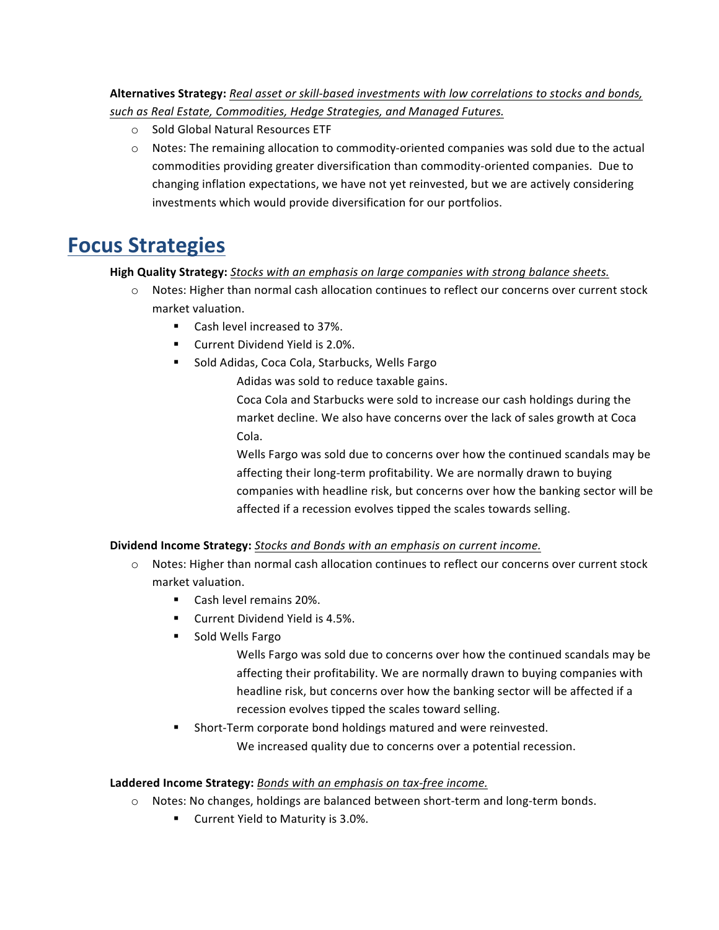### **Alternatives Strategy:** *Real asset or skill-based investments with low correlations to stocks and bonds, such as Real Estate, Commodities, Hedge Strategies, and Managed Futures.*

- o Sold Global Natural Resources ETF
- o Notes: The remaining allocation to commodity-oriented companies was sold due to the actual commodities providing greater diversification than commodity-oriented companies. Due to changing inflation expectations, we have not yet reinvested, but we are actively considering investments which would provide diversification for our portfolios.

# **Focus Strategies**

### **High Quality Strategy:** *Stocks with an emphasis on large companies with strong balance sheets.*

- o Notes: Higher than normal cash allocation continues to reflect our concerns over current stock market valuation.
	- ! Cash level increased to 37%.
	- **EXECUTE:** Current Dividend Yield is 2.0%.
	- ! Sold Adidas, Coca Cola, Starbucks, Wells Fargo

Adidas was sold to reduce taxable gains.

 Coca Cola and Starbucks were sold to increase our cash holdings during the market decline. We also have concerns over the lack of sales growth at Coca Cola.

 Wells Fargo was sold due to concerns over how the continued scandals may be affecting their long-term profitability. We are normally drawn to buying companies with headline risk, but concerns over how the banking sector will be affected if a recession evolves tipped the scales towards selling.

### **Dividend Income Strategy:** *Stocks and Bonds with an emphasis on current income.*

- o Notes: Higher than normal cash allocation continues to reflect our concerns over current stock market valuation.
	- **Cash level remains 20%.**
	- **EXECUTE:** Current Dividend Yield is 4.5%.
	- **E** Sold Wells Fargo

 Wells Fargo was sold due to concerns over how the continued scandals may be affecting their profitability. We are normally drawn to buying companies with headline risk, but concerns over how the banking sector will be affected if a recession evolves tipped the scales toward selling.

! Short-Term corporate bond holdings matured and were reinvested.

We increased quality due to concerns over a potential recession.

### **Laddered Income Strategy:** *Bonds with an emphasis on tax-free income.*

- o Notes: No changes, holdings are balanced between short-term and long-term bonds.
	- Current Yield to Maturity is 3.0%.